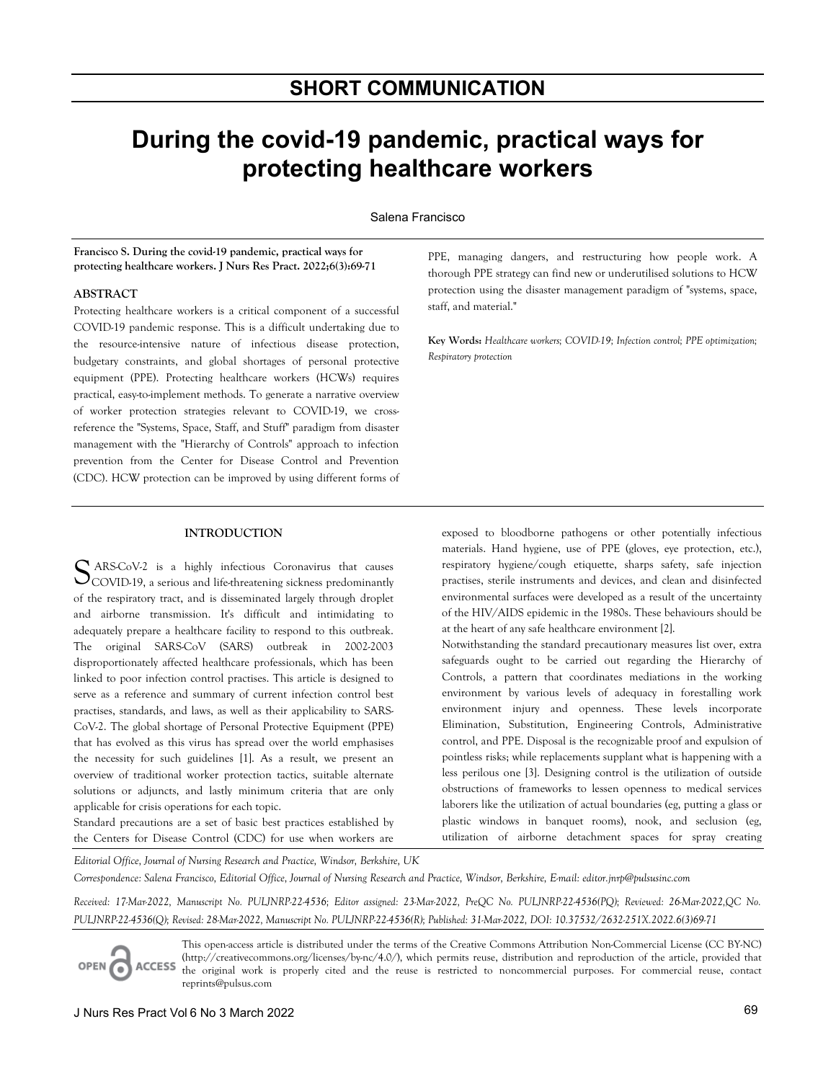# **During the covid-19 pandemic, practical ways for protecting healthcare workers**

Salena Francisco

**Francisco S. During the covid-19 pandemic, practical ways for protecting healthcare workers. J Nurs Res Pract. 2022;6(3):69-71**

# **ABSTRACT**

Protecting healthcare workers is a critical component of a successful COVID-19 pandemic response. This is a difficult undertaking due to the resource-intensive nature of infectious disease protection, budgetary constraints, and global shortages of personal protective equipment (PPE). Protecting healthcare workers (HCWs) requires practical, easy-to-implement methods. To generate a narrative overview of worker protection strategies relevant to COVID-19, we crossreference the "Systems, Space, Staff, and Stuff" paradigm from disaster management with the "Hierarchy of Controls" approach to infection prevention from the Center for Disease Control and Prevention (CDC). HCW protection can be improved by using different forms of

## **INTRODUCTION**

ARS-CoV-2 is a highly infectious Coronavirus that causes SARS-CoV-2 is a highly infectious Coronavirus that causes<br>COVID-19, a serious and life-threatening sickness predominantly of the respiratory tract, and is disseminated largely through droplet and airborne transmission. It's difficult and intimidating to adequately prepare a healthcare facility to respond to this outbreak. The original SARS-CoV (SARS) outbreak in 2002-2003 disproportionately affected healthcare professionals, which has been linked to poor infection control practises. This article is designed to serve as a reference and summary of current infection control best practises, standards, and laws, as well as their applicability to SARS-CoV-2. The global shortage of Personal Protective Equipment (PPE) that has evolved as this virus has spread over the world emphasises the necessity for such guidelines [1]. As a result, we present an overview of traditional worker protection tactics, suitable alternate solutions or adjuncts, and lastly minimum criteria that are only applicable for crisis operations for each topic.

Standard precautions are a set of basic best practices established by the Centers for Disease Control (CDC) for use when workers are

PPE, managing dangers, and restructuring how people work. A thorough PPE strategy can find new or underutilised solutions to HCW protection using the disaster management paradigm of "systems, space, staff, and material."

**Key Words:** *Healthcare workers; COVID-19; Infection control; PPE optimization; Respiratory protection*

exposed to bloodborne pathogens or other potentially infectious materials. Hand hygiene, use of PPE (gloves, eye protection, etc.), respiratory hygiene/cough etiquette, sharps safety, safe injection practises, sterile instruments and devices, and clean and disinfected environmental surfaces were developed as a result of the uncertainty of the HIV/AIDS epidemic in the 1980s. These behaviours should be at the heart of any safe healthcare environment [2].

Notwithstanding the standard precautionary measures list over, extra safeguards ought to be carried out regarding the Hierarchy of Controls, a pattern that coordinates mediations in the working environment by various levels of adequacy in forestalling work environment injury and openness. These levels incorporate Elimination, Substitution, Engineering Controls, Administrative control, and PPE. Disposal is the recognizable proof and expulsion of pointless risks; while replacements supplant what is happening with a less perilous one [3]. Designing control is the utilization of outside obstructions of frameworks to lessen openness to medical services laborers like the utilization of actual boundaries (eg, putting a glass or plastic windows in banquet rooms), nook, and seclusion (eg, utilization of airborne detachment spaces for spray creating

*Editorial Office, Journal of Nursing Research and Practice, Windsor, Berkshire, UK*

Correspondence: Salena Francisco, Editorial Office, Journal of Nursing Research and Practice, Windsor, Berkshire, Email: editor.jnrp@pulsusinc.com

*Received: 17-Mar-2022, Manuscript No. PULJNRP-22-4536; Editor assigned: 23-Mar-2022, PreQC No. PULJNRP-22-4536(PQ); Reviewed: 26-Mar-2022,QC No. PULJNRP-22-4536(Q); Revised: 28-Mar-2022, Manuscript No. PULJNRP-22-4536(R); Published: 31-Mar-2022, DOI: 10.37532/2632-251X.2022.6(3)69-71* 

This open-access article is distributed under the terms of the Creative Commons Attribution Non-Commercial License (CC BY-NC) (http://creativecommons.org/licenses/by-nc/4.0/), which permits reuse, distribution and reproduction of the article, provided that ACCESS the original work is properly cited and the reuse is restricted to noncommercial purposes. For commercial reuse, contact reprints@pulsus.com

OPEN C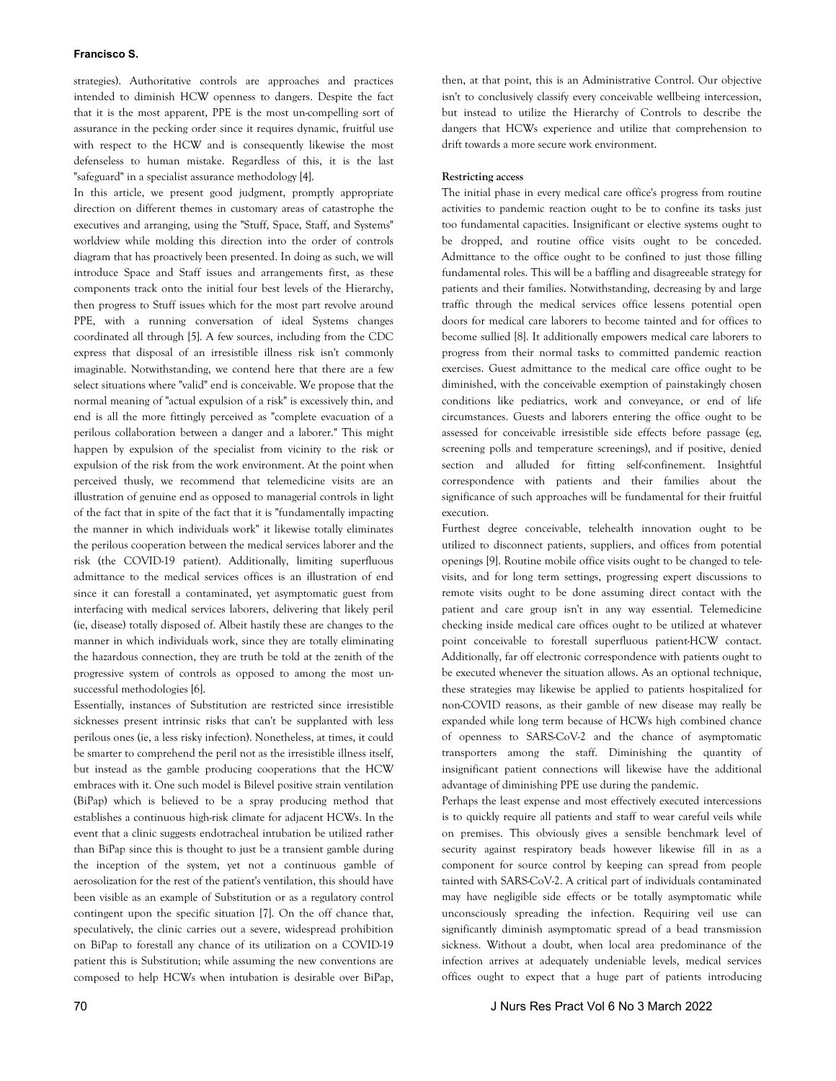## **Francisco S.**

strategies). Authoritative controls are approaches and practices intended to diminish HCW openness to dangers. Despite the fact that it is the most apparent, PPE is the most un-compelling sort of assurance in the pecking order since it requires dynamic, fruitful use with respect to the HCW and is consequently likewise the most defenseless to human mistake. Regardless of this, it is the last "safeguard" in a specialist assurance methodology [4].

In this article, we present good judgment, promptly appropriate direction on different themes in customary areas of catastrophe the executives and arranging, using the "Stuff, Space, Staff, and Systems" worldview while molding this direction into the order of controls diagram that has proactively been presented. In doing as such, we will introduce Space and Staff issues and arrangements first, as these components track onto the initial four best levels of the Hierarchy, then progress to Stuff issues which for the most part revolve around PPE, with a running conversation of ideal Systems changes coordinated all through [5]. A few sources, including from the CDC express that disposal of an irresistible illness risk isn't commonly imaginable. Notwithstanding, we contend here that there are a few select situations where "valid" end is conceivable. We propose that the normal meaning of "actual expulsion of a risk" is excessively thin, and end is all the more fittingly perceived as "complete evacuation of a perilous collaboration between a danger and a laborer." This might happen by expulsion of the specialist from vicinity to the risk or expulsion of the risk from the work environment. At the point when perceived thusly, we recommend that telemedicine visits are an illustration of genuine end as opposed to managerial controls in light of the fact that in spite of the fact that it is "fundamentally impacting the manner in which individuals work" it likewise totally eliminates the perilous cooperation between the medical services laborer and the risk (the COVID-19 patient). Additionally, limiting superfluous admittance to the medical services offices is an illustration of end since it can forestall a contaminated, yet asymptomatic guest from interfacing with medical services laborers, delivering that likely peril (ie, disease) totally disposed of. Albeit hastily these are changes to the manner in which individuals work, since they are totally eliminating the hazardous connection, they are truth be told at the zenith of the progressive system of controls as opposed to among the most unsuccessful methodologies [6].

Essentially, instances of Substitution are restricted since irresistible sicknesses present intrinsic risks that can't be supplanted with less perilous ones (ie, a less risky infection). Nonetheless, at times, it could be smarter to comprehend the peril not as the irresistible illness itself, but instead as the gamble producing cooperations that the HCW embraces with it. One such model is Bilevel positive strain ventilation (BiPap) which is believed to be a spray producing method that establishes a continuous high-risk climate for adjacent HCWs. In the event that a clinic suggests endotracheal intubation be utilized rather than BiPap since this is thought to just be a transient gamble during the inception of the system, yet not a continuous gamble of aerosolization for the rest of the patient's ventilation, this should have been visible as an example of Substitution or as a regulatory control contingent upon the specific situation [7]. On the off chance that, speculatively, the clinic carries out a severe, widespread prohibition on BiPap to forestall any chance of its utilization on a COVID-19 patient this is Substitution; while assuming the new conventions are composed to help HCWs when intubation is desirable over BiPap,

then, at that point, this is an Administrative Control. Our objective isn't to conclusively classify every conceivable wellbeing intercession, but instead to utilize the Hierarchy of Controls to describe the dangers that HCWs experience and utilize that comprehension to drift towards a more secure work environment.

#### **Restricting access**

The initial phase in every medical care office's progress from routine activities to pandemic reaction ought to be to confine its tasks just too fundamental capacities. Insignificant or elective systems ought to be dropped, and routine office visits ought to be conceded. Admittance to the office ought to be confined to just those filling fundamental roles. This will be a baffling and disagreeable strategy for patients and their families. Notwithstanding, decreasing by and large traffic through the medical services office lessens potential open doors for medical care laborers to become tainted and for offices to become sullied [8]. It additionally empowers medical care laborers to progress from their normal tasks to committed pandemic reaction exercises. Guest admittance to the medical care office ought to be diminished, with the conceivable exemption of painstakingly chosen conditions like pediatrics, work and conveyance, or end of life circumstances. Guests and laborers entering the office ought to be assessed for conceivable irresistible side effects before passage (eg, screening polls and temperature screenings), and if positive, denied section and alluded for fitting self-confinement. Insightful correspondence with patients and their families about the significance of such approaches will be fundamental for their fruitful execution.

Furthest degree conceivable, telehealth innovation ought to be utilized to disconnect patients, suppliers, and offices from potential openings [9]. Routine mobile office visits ought to be changed to televisits, and for long term settings, progressing expert discussions to remote visits ought to be done assuming direct contact with the patient and care group isn't in any way essential. Telemedicine checking inside medical care offices ought to be utilized at whatever point conceivable to forestall superfluous patient-HCW contact. Additionally, far off electronic correspondence with patients ought to be executed whenever the situation allows. As an optional technique, these strategies may likewise be applied to patients hospitalized for non-COVID reasons, as their gamble of new disease may really be expanded while long term because of HCWs high combined chance of openness to SARS-CoV-2 and the chance of asymptomatic transporters among the staff. Diminishing the quantity of insignificant patient connections will likewise have the additional advantage of diminishing PPE use during the pandemic.

Perhaps the least expense and most effectively executed intercessions is to quickly require all patients and staff to wear careful veils while on premises. This obviously gives a sensible benchmark level of security against respiratory beads however likewise fill in as a component for source control by keeping can spread from people tainted with SARS-CoV-2. A critical part of individuals contaminated may have negligible side effects or be totally asymptomatic while unconsciously spreading the infection. Requiring veil use can significantly diminish asymptomatic spread of a bead transmission sickness. Without a doubt, when local area predominance of the infection arrives at adequately undeniable levels, medical services offices ought to expect that a huge part of patients introducing